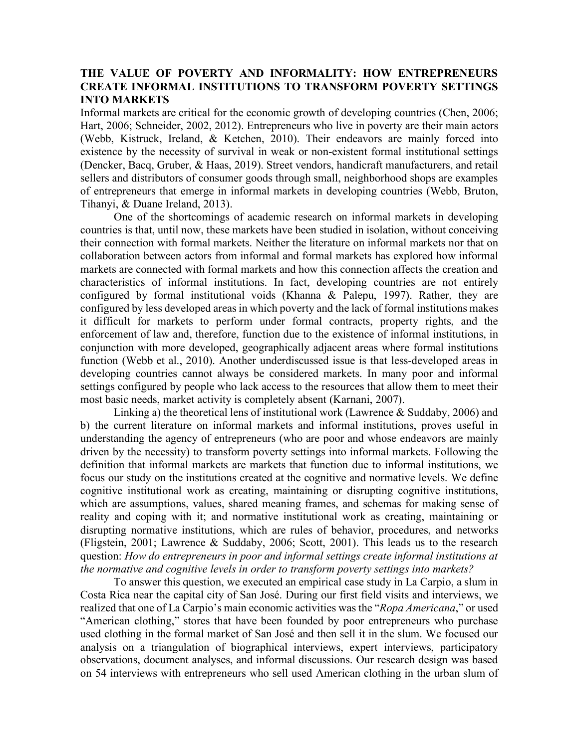## **THE VALUE OF POVERTY AND INFORMALITY: HOW ENTREPRENEURS CREATE INFORMAL INSTITUTIONS TO TRANSFORM POVERTY SETTINGS INTO MARKETS**

Informal markets are critical for the economic growth of developing countries (Chen, 2006; Hart, 2006; Schneider, 2002, 2012). Entrepreneurs who live in poverty are their main actors (Webb, Kistruck, Ireland, & Ketchen, 2010). Their endeavors are mainly forced into existence by the necessity of survival in weak or non-existent formal institutional settings (Dencker, Bacq, Gruber, & Haas, 2019). Street vendors, handicraft manufacturers, and retail sellers and distributors of consumer goods through small, neighborhood shops are examples of entrepreneurs that emerge in informal markets in developing countries (Webb, Bruton, Tihanyi, & Duane Ireland, 2013).

One of the shortcomings of academic research on informal markets in developing countries is that, until now, these markets have been studied in isolation, without conceiving their connection with formal markets. Neither the literature on informal markets nor that on collaboration between actors from informal and formal markets has explored how informal markets are connected with formal markets and how this connection affects the creation and characteristics of informal institutions. In fact, developing countries are not entirely configured by formal institutional voids (Khanna & Palepu, 1997). Rather, they are configured by less developed areas in which poverty and the lack of formal institutions makes it difficult for markets to perform under formal contracts, property rights, and the enforcement of law and, therefore, function due to the existence of informal institutions, in conjunction with more developed, geographically adjacent areas where formal institutions function (Webb et al., 2010). Another underdiscussed issue is that less-developed areas in developing countries cannot always be considered markets. In many poor and informal settings configured by people who lack access to the resources that allow them to meet their most basic needs, market activity is completely absent (Karnani, 2007).

Linking a) the theoretical lens of institutional work (Lawrence & Suddaby, 2006) and b) the current literature on informal markets and informal institutions, proves useful in understanding the agency of entrepreneurs (who are poor and whose endeavors are mainly driven by the necessity) to transform poverty settings into informal markets. Following the definition that informal markets are markets that function due to informal institutions, we focus our study on the institutions created at the cognitive and normative levels. We define cognitive institutional work as creating, maintaining or disrupting cognitive institutions, which are assumptions, values, shared meaning frames, and schemas for making sense of reality and coping with it; and normative institutional work as creating, maintaining or disrupting normative institutions, which are rules of behavior, procedures, and networks (Fligstein, 2001; Lawrence & Suddaby, 2006; Scott, 2001). This leads us to the research question: *How do entrepreneurs in poor and informal settings create informal institutions at the normative and cognitive levels in order to transform poverty settings into markets?*

To answer this question, we executed an empirical case study in La Carpio, a slum in Costa Rica near the capital city of San José. During our first field visits and interviews, we realized that one of La Carpio's main economic activities was the "*Ropa Americana*," or used "American clothing," stores that have been founded by poor entrepreneurs who purchase used clothing in the formal market of San José and then sell it in the slum. We focused our analysis on a triangulation of biographical interviews, expert interviews, participatory observations, document analyses, and informal discussions. Our research design was based on 54 interviews with entrepreneurs who sell used American clothing in the urban slum of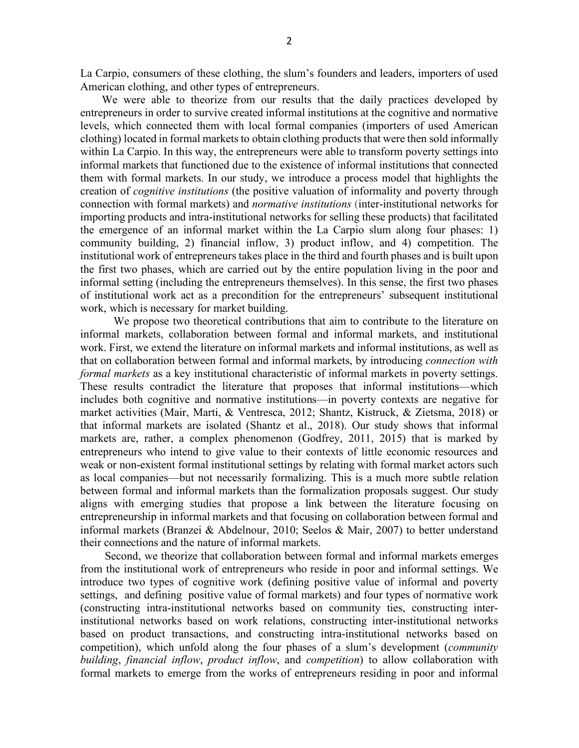La Carpio, consumers of these clothing, the slum's founders and leaders, importers of used American clothing, and other types of entrepreneurs.

We were able to theorize from our results that the daily practices developed by entrepreneurs in order to survive created informal institutions at the cognitive and normative levels, which connected them with local formal companies (importers of used American clothing) located in formal markets to obtain clothing products that were then sold informally within La Carpio. In this way, the entrepreneurs were able to transform poverty settings into informal markets that functioned due to the existence of informal institutions that connected them with formal markets. In our study, we introduce a process model that highlights the creation of *cognitive institutions* (the positive valuation of informality and poverty through connection with formal markets) and *normative institutions* (inter-institutional networks for importing products and intra-institutional networks for selling these products) that facilitated the emergence of an informal market within the La Carpio slum along four phases: 1) community building, 2) financial inflow, 3) product inflow, and 4) competition. The institutional work of entrepreneurs takes place in the third and fourth phases and is built upon the first two phases, which are carried out by the entire population living in the poor and informal setting (including the entrepreneurs themselves). In this sense, the first two phases of institutional work act as a precondition for the entrepreneurs' subsequent institutional work, which is necessary for market building.

We propose two theoretical contributions that aim to contribute to the literature on informal markets, collaboration between formal and informal markets, and institutional work. First, we extend the literature on informal markets and informal institutions, as well as that on collaboration between formal and informal markets, by introducing *connection with formal markets* as a key institutional characteristic of informal markets in poverty settings. These results contradict the literature that proposes that informal institutions—which includes both cognitive and normative institutions—in poverty contexts are negative for market activities (Mair, Marti, & Ventresca, 2012; Shantz, Kistruck, & Zietsma, 2018) or that informal markets are isolated (Shantz et al., 2018). Our study shows that informal markets are, rather, a complex phenomenon (Godfrey, 2011, 2015) that is marked by entrepreneurs who intend to give value to their contexts of little economic resources and weak or non-existent formal institutional settings by relating with formal market actors such as local companies—but not necessarily formalizing. This is a much more subtle relation between formal and informal markets than the formalization proposals suggest. Our study aligns with emerging studies that propose a link between the literature focusing on entrepreneurship in informal markets and that focusing on collaboration between formal and informal markets (Branzei & Abdelnour, 2010; Seelos & Mair, 2007) to better understand their connections and the nature of informal markets.

Second, we theorize that collaboration between formal and informal markets emerges from the institutional work of entrepreneurs who reside in poor and informal settings. We introduce two types of cognitive work (defining positive value of informal and poverty settings, and defining positive value of formal markets) and four types of normative work (constructing intra-institutional networks based on community ties, constructing interinstitutional networks based on work relations, constructing inter-institutional networks based on product transactions, and constructing intra-institutional networks based on competition), which unfold along the four phases of a slum's development (*community building*, *financial inflow*, *product inflow*, and *competition*) to allow collaboration with formal markets to emerge from the works of entrepreneurs residing in poor and informal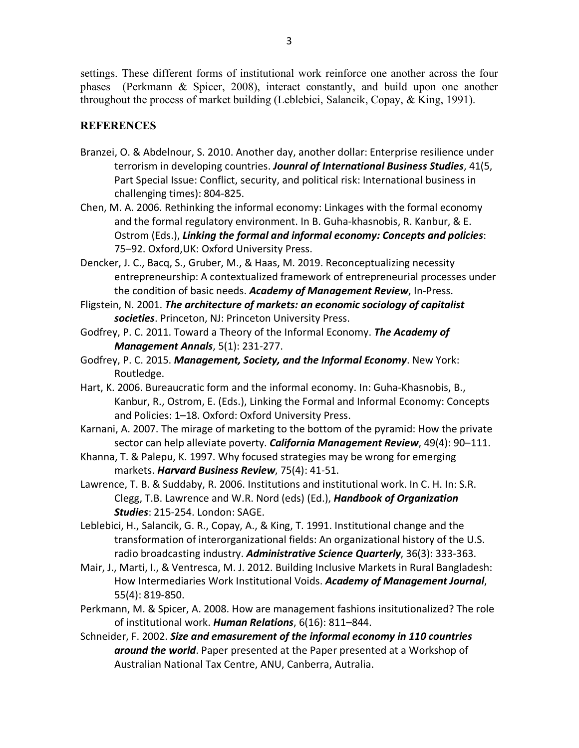settings. These different forms of institutional work reinforce one another across the four phases (Perkmann & Spicer, 2008), interact constantly, and build upon one another throughout the process of market building (Leblebici, Salancik, Copay, & King, 1991).

## **REFERENCES**

- Branzei, O. & Abdelnour, S. 2010. Another day, another dollar: Enterprise resilience under terrorism in developing countries. *Jounral of International Business Studies*, 41(5, Part Special Issue: Conflict, security, and political risk: International business in challenging times): 804-825.
- Chen, M. A. 2006. Rethinking the informal economy: Linkages with the formal economy and the formal regulatory environment. In B. Guha-khasnobis, R. Kanbur, & E. Ostrom (Eds.), *Linking the formal and informal economy: Concepts and policies*: 75–92. Oxford,UK: Oxford University Press.

Dencker, J. C., Bacq, S., Gruber, M., & Haas, M. 2019. Reconceptualizing necessity entrepreneurship: A contextualized framework of entrepreneurial processes under the condition of basic needs. *Academy of Management Review*, In-Press.

- Fligstein, N. 2001. *The architecture of markets: an economic sociology of capitalist societies*. Princeton, NJ: Princeton University Press.
- Godfrey, P. C. 2011. Toward a Theory of the Informal Economy. *The Academy of Management Annals*, 5(1): 231-277.
- Godfrey, P. C. 2015. *Management, Society, and the Informal Economy*. New York: Routledge.
- Hart, K. 2006. Bureaucratic form and the informal economy. In: Guha-Khasnobis, B., Kanbur, R., Ostrom, E. (Eds.), Linking the Formal and Informal Economy: Concepts and Policies: 1–18. Oxford: Oxford University Press.
- Karnani, A. 2007. The mirage of marketing to the bottom of the pyramid: How the private sector can help alleviate poverty. *California Management Review*, 49(4): 90–111.
- Khanna, T. & Palepu, K. 1997. Why focused strategies may be wrong for emerging markets. *Harvard Business Review*, 75(4): 41-51.
- Lawrence, T. B. & Suddaby, R. 2006. Institutions and institutional work. In C. H. In: S.R. Clegg, T.B. Lawrence and W.R. Nord (eds) (Ed.), *Handbook of Organization Studies*: 215-254. London: SAGE.
- Leblebici, H., Salancik, G. R., Copay, A., & King, T. 1991. Institutional change and the transformation of interorganizational fields: An organizational history of the U.S. radio broadcasting industry. *Administrative Science Quarterly*, 36(3): 333-363.
- Mair, J., Marti, I., & Ventresca, M. J. 2012. Building Inclusive Markets in Rural Bangladesh: How Intermediaries Work Institutional Voids. *Academy of Management Journal*, 55(4): 819-850.
- Perkmann, M. & Spicer, A. 2008. How are management fashions insitutionalized? The role of institutional work. *Human Relations*, 6(16): 811–844.
- Schneider, F. 2002. *Size and emasurement of the informal economy in 110 countries around the world*. Paper presented at the Paper presented at a Workshop of Australian National Tax Centre, ANU, Canberra, Autralia.